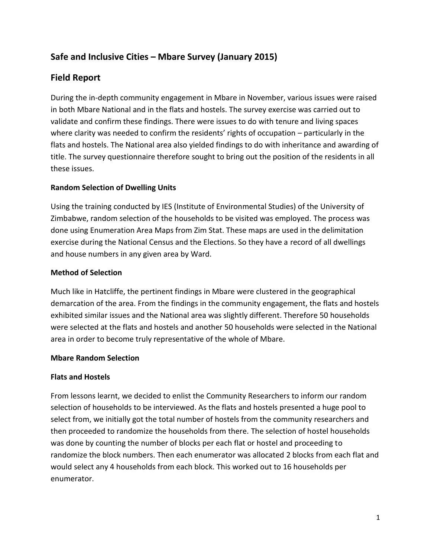# **Safe and Inclusive Cities – Mbare Survey (January 2015)**

# **Field Report**

During the in-depth community engagement in Mbare in November, various issues were raised in both Mbare National and in the flats and hostels. The survey exercise was carried out to validate and confirm these findings. There were issues to do with tenure and living spaces where clarity was needed to confirm the residents' rights of occupation – particularly in the flats and hostels. The National area also yielded findings to do with inheritance and awarding of title. The survey questionnaire therefore sought to bring out the position of the residents in all these issues.

# **Random Selection of Dwelling Units**

Using the training conducted by IES (Institute of Environmental Studies) of the University of Zimbabwe, random selection of the households to be visited was employed. The process was done using Enumeration Area Maps from Zim Stat. These maps are used in the delimitation exercise during the National Census and the Elections. So they have a record of all dwellings and house numbers in any given area by Ward.

# **Method of Selection**

Much like in Hatcliffe, the pertinent findings in Mbare were clustered in the geographical demarcation of the area. From the findings in the community engagement, the flats and hostels exhibited similar issues and the National area was slightly different. Therefore 50 households were selected at the flats and hostels and another 50 households were selected in the National area in order to become truly representative of the whole of Mbare.

## **Mbare Random Selection**

## **Flats and Hostels**

From lessons learnt, we decided to enlist the Community Researchers to inform our random selection of households to be interviewed. As the flats and hostels presented a huge pool to select from, we initially got the total number of hostels from the community researchers and then proceeded to randomize the households from there. The selection of hostel households was done by counting the number of blocks per each flat or hostel and proceeding to randomize the block numbers. Then each enumerator was allocated 2 blocks from each flat and would select any 4 households from each block. This worked out to 16 households per enumerator.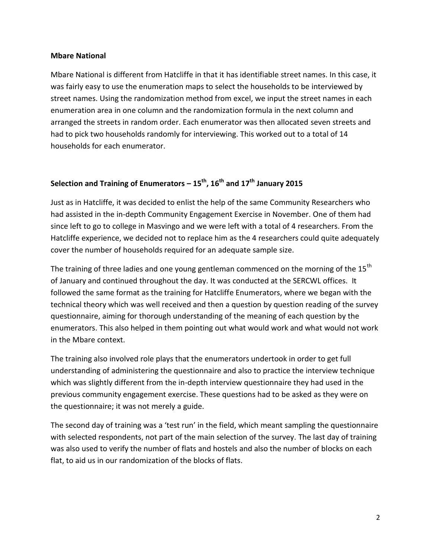#### **Mbare National**

Mbare National is different from Hatcliffe in that it has identifiable street names. In this case, it was fairly easy to use the enumeration maps to select the households to be interviewed by street names. Using the randomization method from excel, we input the street names in each enumeration area in one column and the randomization formula in the next column and arranged the streets in random order. Each enumerator was then allocated seven streets and had to pick two households randomly for interviewing. This worked out to a total of 14 households for each enumerator.

# **Selection and Training of Enumerators – 15 th , 16 th and 17 th January 2015**

Just as in Hatcliffe, it was decided to enlist the help of the same Community Researchers who had assisted in the in-depth Community Engagement Exercise in November. One of them had since left to go to college in Masvingo and we were left with a total of 4 researchers. From the Hatcliffe experience, we decided not to replace him as the 4 researchers could quite adequately cover the number of households required for an adequate sample size.

The training of three ladies and one young gentleman commenced on the morning of the 15<sup>th</sup> of January and continued throughout the day. It was conducted at the SERCWL offices. It followed the same format as the training for Hatcliffe Enumerators, where we began with the technical theory which was well received and then a question by question reading of the survey questionnaire, aiming for thorough understanding of the meaning of each question by the enumerators. This also helped in them pointing out what would work and what would not work in the Mbare context.

The training also involved role plays that the enumerators undertook in order to get full understanding of administering the questionnaire and also to practice the interview technique which was slightly different from the in-depth interview questionnaire they had used in the previous community engagement exercise. These questions had to be asked as they were on the questionnaire; it was not merely a guide.

The second day of training was a 'test run' in the field, which meant sampling the questionnaire with selected respondents, not part of the main selection of the survey. The last day of training was also used to verify the number of flats and hostels and also the number of blocks on each flat, to aid us in our randomization of the blocks of flats.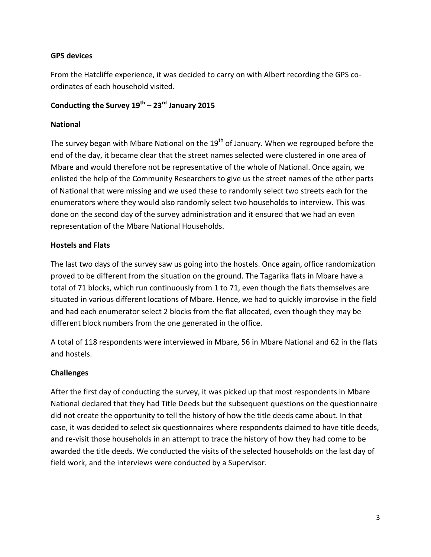## **GPS devices**

From the Hatcliffe experience, it was decided to carry on with Albert recording the GPS coordinates of each household visited.

# **Conducting the Survey 19th – 23rd January 2015**

#### **National**

The survey began with Mbare National on the 19<sup>th</sup> of January. When we regrouped before the end of the day, it became clear that the street names selected were clustered in one area of Mbare and would therefore not be representative of the whole of National. Once again, we enlisted the help of the Community Researchers to give us the street names of the other parts of National that were missing and we used these to randomly select two streets each for the enumerators where they would also randomly select two households to interview. This was done on the second day of the survey administration and it ensured that we had an even representation of the Mbare National Households.

### **Hostels and Flats**

The last two days of the survey saw us going into the hostels. Once again, office randomization proved to be different from the situation on the ground. The Tagarika flats in Mbare have a total of 71 blocks, which run continuously from 1 to 71, even though the flats themselves are situated in various different locations of Mbare. Hence, we had to quickly improvise in the field and had each enumerator select 2 blocks from the flat allocated, even though they may be different block numbers from the one generated in the office.

A total of 118 respondents were interviewed in Mbare, 56 in Mbare National and 62 in the flats and hostels.

## **Challenges**

After the first day of conducting the survey, it was picked up that most respondents in Mbare National declared that they had Title Deeds but the subsequent questions on the questionnaire did not create the opportunity to tell the history of how the title deeds came about. In that case, it was decided to select six questionnaires where respondents claimed to have title deeds, and re-visit those households in an attempt to trace the history of how they had come to be awarded the title deeds. We conducted the visits of the selected households on the last day of field work, and the interviews were conducted by a Supervisor.